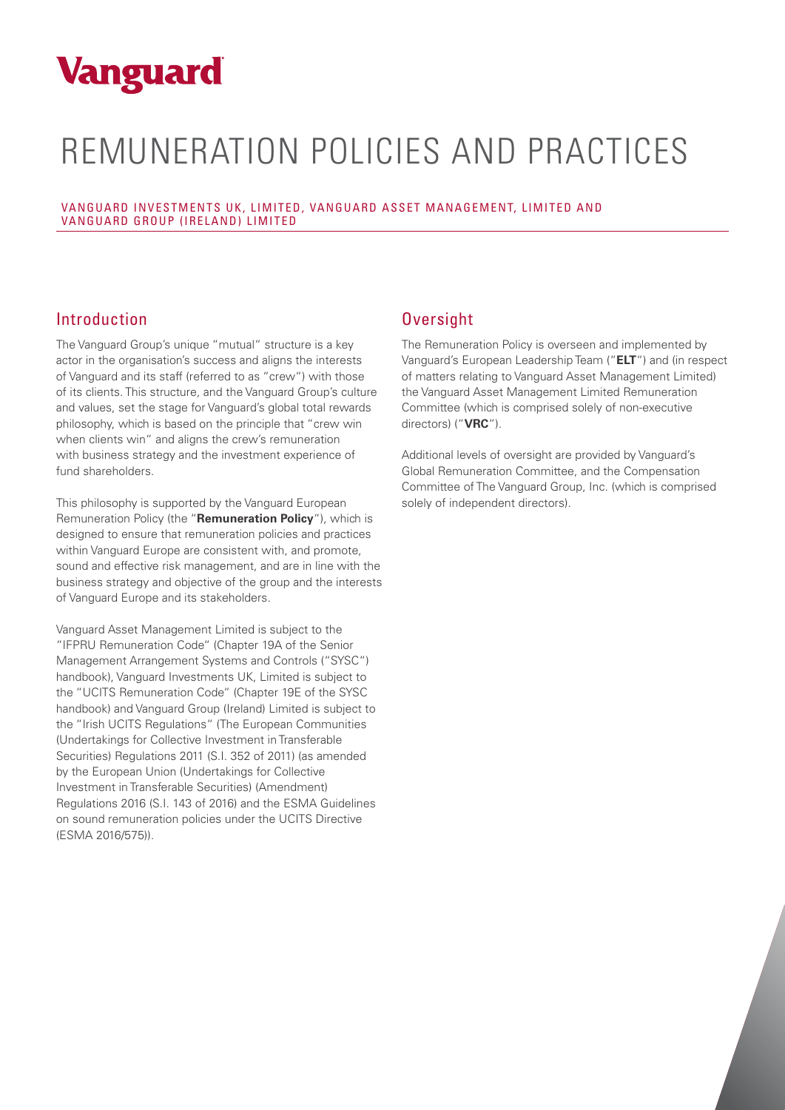# **Vanguard**

# REMUNERATION POLICIES AND PRACTICES

VANGUARD INVESTMENTS UK, LIMITED, VANGUARD ASSET MANAGEMENT, LIMITED AND VANGUARD GROUP (IRELAND) LIMITED

### Introduction

The Vanguard Group's unique "mutual" structure is a key actor in the organisation's success and aligns the interests of Vanguard and its staff (referred to as "crew") with those of its clients. This structure, and the Vanguard Group's culture and values, set the stage for Vanguard's global total rewards philosophy, which is based on the principle that "crew win when clients win" and aligns the crew's remuneration with business strategy and the investment experience of fund shareholders.

This philosophy is supported by the Vanguard European Remuneration Policy (the "**Remuneration Policy**"), which is designed to ensure that remuneration policies and practices within Vanguard Europe are consistent with, and promote, sound and effective risk management, and are in line with the business strategy and objective of the group and the interests of Vanguard Europe and its stakeholders.

Vanguard Asset Management Limited is subject to the "IFPRU Remuneration Code" (Chapter 19A of the Senior Management Arrangement Systems and Controls ("SYSC") handbook), Vanguard Investments UK, Limited is subject to the "UCITS Remuneration Code" (Chapter 19E of the SYSC handbook) and Vanguard Group (Ireland) Limited is subject to the "Irish UCITS Regulations" (The European Communities (Undertakings for Collective Investment in Transferable Securities) Regulations 2011 (S.I. 352 of 2011) (as amended by the European Union (Undertakings for Collective Investment in Transferable Securities) (Amendment) Regulations 2016 (S.I. 143 of 2016) and the ESMA Guidelines on sound remuneration policies under the UCITS Directive (ESMA 2016/575)).

## **Oversight**

The Remuneration Policy is overseen and implemented by Vanguard's European Leadership Team ("**ELT**") and (in respect of matters relating to Vanguard Asset Management Limited) the Vanguard Asset Management Limited Remuneration Committee (which is comprised solely of non-executive directors) ("**VRC**").

Additional levels of oversight are provided by Vanguard's Global Remuneration Committee, and the Compensation Committee of The Vanguard Group, Inc. (which is comprised solely of independent directors).